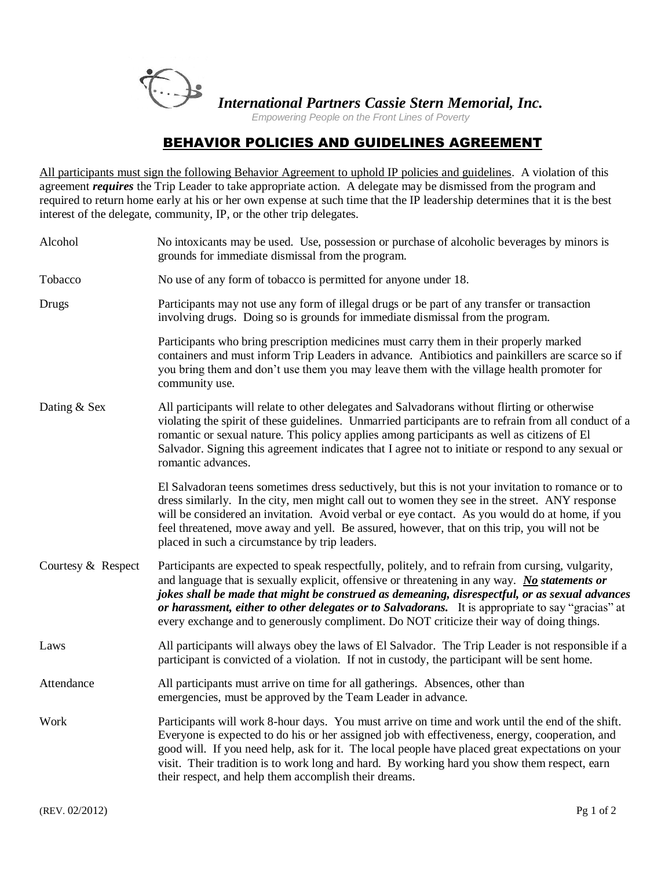

*International Partners Cassie Stern Memorial, Inc.*

 *Empowering People on the Front Lines of Poverty*

## **BEHAVIOR POLICIES AND GUIDELINES AGREEMENT**

All participants must sign the following Behavior Agreement to uphold IP policies and guidelines. A violation of this agreement *requires* the Trip Leader to take appropriate action. A delegate may be dismissed from the program and required to return home early at his or her own expense at such time that the IP leadership determines that it is the best interest of the delegate, community, IP, or the other trip delegates.

| Alcohol            | No intoxicants may be used. Use, possession or purchase of alcoholic beverages by minors is<br>grounds for immediate dismissal from the program.                                                                                                                                                                                                                                                                                                                                                       |  |
|--------------------|--------------------------------------------------------------------------------------------------------------------------------------------------------------------------------------------------------------------------------------------------------------------------------------------------------------------------------------------------------------------------------------------------------------------------------------------------------------------------------------------------------|--|
| Tobacco            | No use of any form of tobacco is permitted for anyone under 18.                                                                                                                                                                                                                                                                                                                                                                                                                                        |  |
| Drugs              | Participants may not use any form of illegal drugs or be part of any transfer or transaction<br>involving drugs. Doing so is grounds for immediate dismissal from the program.                                                                                                                                                                                                                                                                                                                         |  |
|                    | Participants who bring prescription medicines must carry them in their properly marked<br>containers and must inform Trip Leaders in advance. Antibiotics and painkillers are scarce so if<br>you bring them and don't use them you may leave them with the village health promoter for<br>community use.                                                                                                                                                                                              |  |
| Dating & Sex       | All participants will relate to other delegates and Salvadorans without flirting or otherwise<br>violating the spirit of these guidelines. Unmarried participants are to refrain from all conduct of a<br>romantic or sexual nature. This policy applies among participants as well as citizens of El<br>Salvador. Signing this agreement indicates that I agree not to initiate or respond to any sexual or<br>romantic advances.                                                                     |  |
|                    | El Salvadoran teens sometimes dress seductively, but this is not your invitation to romance or to<br>dress similarly. In the city, men might call out to women they see in the street. ANY response<br>will be considered an invitation. Avoid verbal or eye contact. As you would do at home, if you<br>feel threatened, move away and yell. Be assured, however, that on this trip, you will not be<br>placed in such a circumstance by trip leaders.                                                |  |
| Courtesy & Respect | Participants are expected to speak respectfully, politely, and to refrain from cursing, vulgarity,<br>and language that is sexually explicit, offensive or threatening in any way. No statements or<br>jokes shall be made that might be construed as demeaning, disrespectful, or as sexual advances<br>or harassment, either to other delegates or to Salvadorans. It is appropriate to say "gracias" at<br>every exchange and to generously compliment. Do NOT criticize their way of doing things. |  |
| Laws               | All participants will always obey the laws of El Salvador. The Trip Leader is not responsible if a<br>participant is convicted of a violation. If not in custody, the participant will be sent home.                                                                                                                                                                                                                                                                                                   |  |
| Attendance         | All participants must arrive on time for all gatherings. Absences, other than<br>emergencies, must be approved by the Team Leader in advance.                                                                                                                                                                                                                                                                                                                                                          |  |
| Work               | Participants will work 8-hour days. You must arrive on time and work until the end of the shift.<br>Everyone is expected to do his or her assigned job with effectiveness, energy, cooperation, and<br>good will. If you need help, ask for it. The local people have placed great expectations on your<br>visit. Their tradition is to work long and hard. By working hard you show them respect, earn<br>their respect, and help them accomplish their dreams.                                       |  |